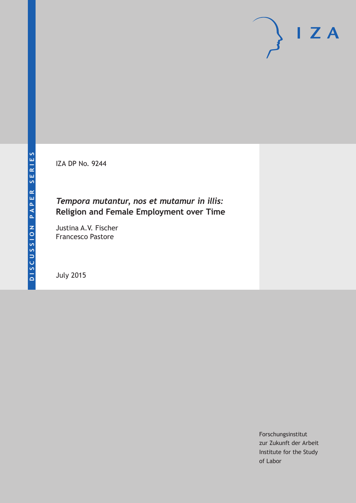IZA DP No. 9244

## *Tempora mutantur, nos et mutamur in illis:* **Religion and Female Employment over Time**

Justina A.V. Fischer Francesco Pastore

July 2015

Forschungsinstitut zur Zukunft der Arbeit Institute for the Study of Labor

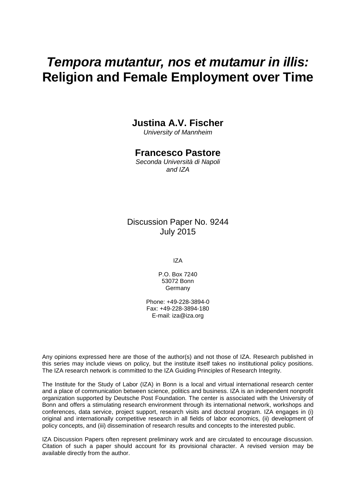# *Tempora mutantur, nos et mutamur in illis:* **Religion and Female Employment over Time**

### **Justina A.V. Fischer**

*University of Mannheim*

### **Francesco Pastore**

*Seconda Università di Napoli and IZA*

Discussion Paper No. 9244 July 2015

IZA

P.O. Box 7240 53072 Bonn Germany

Phone: +49-228-3894-0 Fax: +49-228-3894-180 E-mail: iza@iza.org

Any opinions expressed here are those of the author(s) and not those of IZA. Research published in this series may include views on policy, but the institute itself takes no institutional policy positions. The IZA research network is committed to the IZA Guiding Principles of Research Integrity.

The Institute for the Study of Labor (IZA) in Bonn is a local and virtual international research center and a place of communication between science, politics and business. IZA is an independent nonprofit organization supported by Deutsche Post Foundation. The center is associated with the University of Bonn and offers a stimulating research environment through its international network, workshops and conferences, data service, project support, research visits and doctoral program. IZA engages in (i) original and internationally competitive research in all fields of labor economics, (ii) development of policy concepts, and (iii) dissemination of research results and concepts to the interested public.

IZA Discussion Papers often represent preliminary work and are circulated to encourage discussion. Citation of such a paper should account for its provisional character. A revised version may be available directly from the author.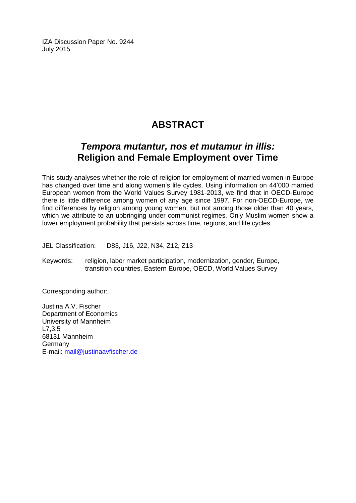IZA Discussion Paper No. 9244 July 2015

# **ABSTRACT**

## *Tempora mutantur, nos et mutamur in illis:* **Religion and Female Employment over Time**

This study analyses whether the role of religion for employment of married women in Europe has changed over time and along women's life cycles. Using information on 44'000 married European women from the World Values Survey 1981-2013, we find that in OECD-Europe there is little difference among women of any age since 1997. For non-OECD-Europe, we find differences by religion among young women, but not among those older than 40 years, which we attribute to an upbringing under communist regimes. Only Muslim women show a lower employment probability that persists across time, regions, and life cycles.

JEL Classification: D83, J16, J22, N34, Z12, Z13

Keywords: religion, labor market participation, modernization, gender, Europe, transition countries, Eastern Europe, OECD, World Values Survey

Corresponding author:

Justina A.V. Fischer Department of Economics University of Mannheim L7,3.5 68131 Mannheim Germany E-mail: [mail@justinaavfischer.de](mailto:mail@justinaavfischer.de)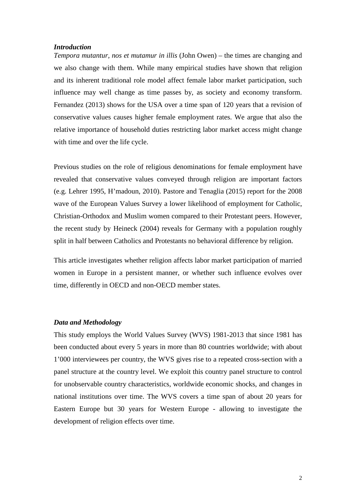#### *Introduction*

*Tempora mutantur, nos et mutamur in illis* (John Owen) – the times are changing and we also change with them. While many empirical studies have shown that religion and its inherent traditional role model affect female labor market participation, such influence may well change as time passes by, as society and economy transform. Fernandez (2013) shows for the USA over a time span of 120 years that a revision of conservative values causes higher female employment rates. We argue that also the relative importance of household duties restricting labor market access might change with time and over the life cycle.

Previous studies on the role of religious denominations for female employment have revealed that conservative values conveyed through religion are important factors (e.g. Lehrer 1995, H'madoun, 2010). Pastore and Tenaglia (2015) report for the 2008 wave of the European Values Survey a lower likelihood of employment for Catholic, Christian-Orthodox and Muslim women compared to their Protestant peers. However, the recent study by Heineck (2004) reveals for Germany with a population roughly split in half between Catholics and Protestants no behavioral difference by religion.

This article investigates whether religion affects labor market participation of married women in Europe in a persistent manner, or whether such influence evolves over time, differently in OECD and non-OECD member states.

#### *Data and Methodology*

This study employs the World Values Survey (WVS) 1981-2013 that since 1981 has been conducted about every 5 years in more than 80 countries worldwide; with about 1'000 interviewees per country, the WVS gives rise to a repeated cross-section with a panel structure at the country level. We exploit this country panel structure to control for unobservable country characteristics, worldwide economic shocks, and changes in national institutions over time. The WVS covers a time span of about 20 years for Eastern Europe but 30 years for Western Europe - allowing to investigate the development of religion effects over time.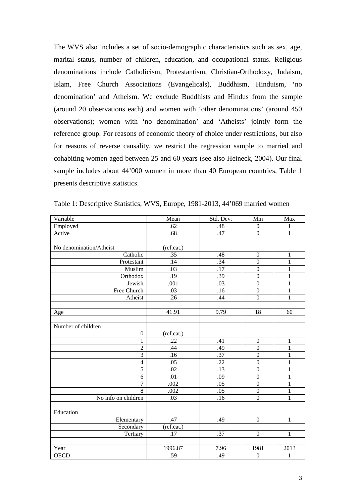The WVS also includes a set of socio-demographic characteristics such as sex, age, marital status, number of children, education, and occupational status. Religious denominations include Catholicism, Protestantism, Christian-Orthodoxy, Judaism, Islam, Free Church Associations (Evangelicals), Buddhism, Hinduism, 'no denomination' and Atheism. We exclude Buddhists and Hindus from the sample (around 20 observations each) and women with 'other denominations' (around 450 observations); women with 'no denomination' and 'Atheists' jointly form the reference group. For reasons of economic theory of choice under restrictions, but also for reasons of reverse causality, we restrict the regression sample to married and cohabiting women aged between 25 and 60 years (see also Heineck, 2004). Our final sample includes about 44'000 women in more than 40 European countries. Table 1 presents descriptive statistics.

| Variable                | Mean       | Std. Dev.         | Min              | Max            |
|-------------------------|------------|-------------------|------------------|----------------|
| Employed                | .62        | .48               | $\boldsymbol{0}$ | $\mathbf{1}$   |
| Active                  | .68        | .47               | $\overline{0}$   | $\mathbf{1}$   |
|                         |            |                   |                  |                |
| No denomination/Atheist | (ref.cat.) |                   |                  |                |
| Catholic                | .35        | .48               | $\boldsymbol{0}$ | $\mathbf{1}$   |
| Protestant              | .14        | .34               | $\boldsymbol{0}$ | $\mathbf{1}$   |
| Muslim                  | .03        | $\overline{.17}$  | $\overline{0}$   | $\mathbf{1}$   |
| Orthodox                | .19        | .39               | $\overline{0}$   | $\mathbf{1}$   |
| Jewish                  | .001       | .03               | $\overline{0}$   | $\mathbf{1}$   |
| Free Church             | .03        | .16               | $\boldsymbol{0}$ | $\,1$          |
| Atheist                 | .26        | .44               | $\boldsymbol{0}$ | $\mathbf{1}$   |
|                         |            |                   |                  |                |
| Age                     | 41.91      | 9.79              | 18               | 60             |
|                         |            |                   |                  |                |
| Number of children      |            |                   |                  |                |
| $\boldsymbol{0}$        | (ref.cat.) |                   |                  |                |
| $\mathbf{1}$            | .22        | .41               | $\boldsymbol{0}$ | $\,1$          |
| $\overline{2}$          | .44        | .49               | $\boldsymbol{0}$ | $\mathbf{1}$   |
| $\overline{3}$          | .16        | .37               | $\mathbf{0}$     | $\mathbf{1}$   |
| $\overline{4}$          | .05        | .22               | $\overline{0}$   | $\mathbf{1}$   |
| $\overline{5}$          | .02        | .13               | $\boldsymbol{0}$ | $\mathbf{1}$   |
| $\overline{6}$          | .01        | .09               | $\boldsymbol{0}$ | $\overline{1}$ |
| $\overline{7}$          | .002       | .05               | $\boldsymbol{0}$ | $\mathbf{1}$   |
| $\overline{8}$          | .002       | .05               | $\overline{0}$   | $\mathbf{1}$   |
| No info on children     | .03        | .16               | $\boldsymbol{0}$ | $\mathbf{1}$   |
|                         |            |                   |                  |                |
| Education               |            |                   |                  |                |
| Elementary              | .47        | .49               | $\boldsymbol{0}$ | $\mathbf{1}$   |
| Secondary               | (ref.cat.) |                   |                  |                |
| Tertiary                | .17        | $\overline{.37}$  | $\overline{0}$   | $\mathbf{1}$   |
|                         |            |                   |                  |                |
| Year                    | 1996.87    | $\overline{7.96}$ | 1981             | 2013           |
| <b>OECD</b>             | .59        | .49               | $\boldsymbol{0}$ | $\,1$          |

Table 1: Descriptive Statistics, WVS, Europe, 1981-2013, 44'069 married women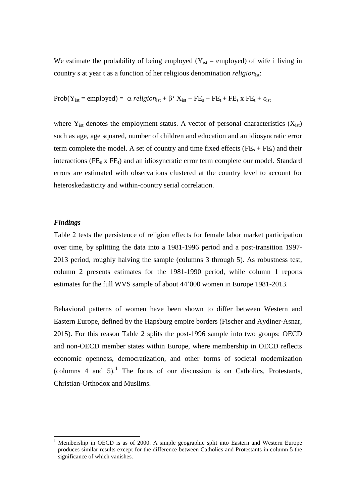We estimate the probability of being employed ( $Y_{ist}$  = employed) of wife i living in country s at year t as a function of her religious denomination *religion*<sub>ist</sub>:

$$
Prob(Y_{ist} = employed) = \alpha \; religion_{ist} + \beta' \; X_{ist} + FE_s + FE_t + FE_s \; x \; FE_t + \epsilon_{ist}
$$

where  $Y_{\text{ist}}$  denotes the employment status. A vector of personal characteristics  $(X_{\text{ist}})$ such as age, age squared, number of children and education and an idiosyncratic error term complete the model. A set of country and time fixed effects ( $FE_s + FE_t$ ) and their interactions ( $FE_s$  x  $FE_t$ ) and an idiosyncratic error term complete our model. Standard errors are estimated with observations clustered at the country level to account for heteroskedasticity and within-country serial correlation.

#### *Findings*

Table 2 tests the persistence of religion effects for female labor market participation over time, by splitting the data into a 1981-1996 period and a post-transition 1997- 2013 period, roughly halving the sample (columns 3 through 5). As robustness test, column 2 presents estimates for the 1981-1990 period, while column 1 reports estimates for the full WVS sample of about 44'000 women in Europe 1981-2013.

Behavioral patterns of women have been shown to differ between Western and Eastern Europe, defined by the Hapsburg empire borders (Fischer and Aydiner-Asnar, 2015). For this reason Table 2 splits the post-1996 sample into two groups: OECD and non-OECD member states within Europe, where membership in OECD reflects economic openness, democratization, and other forms of societal modernization (columns 4 and 5).<sup>1</sup> The focus of our discussion is on Catholics, Protestants, Christian-Orthodox and Muslims.

 <sup>1</sup> Membership in OECD is as of 2000. A simple geographic split into Eastern and Western Europe produces similar results except for the difference between Catholics and Protestants in column 5 the significance of which vanishes.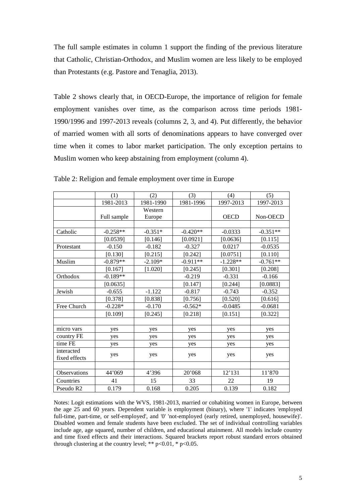The full sample estimates in column 1 support the finding of the previous literature that Catholic, Christian-Orthodox, and Muslim women are less likely to be employed than Protestants (e.g. Pastore and Tenaglia, 2013).

Table 2 shows clearly that, in OECD-Europe, the importance of religion for female employment vanishes over time, as the comparison across time periods 1981- 1990/1996 and 1997-2013 reveals (columns 2, 3, and 4). Put differently, the behavior of married women with all sorts of denominations appears to have converged over time when it comes to labor market participation. The only exception pertains to Muslim women who keep abstaining from employment (column 4).

|               | (1)         | (2)       | (3)        | (4)         | (5)        |
|---------------|-------------|-----------|------------|-------------|------------|
|               | 1981-2013   | 1981-1990 | 1981-1996  | 1997-2013   | 1997-2013  |
|               |             | Western   |            |             |            |
|               | Full sample | Europe    |            | <b>OECD</b> | Non-OECD   |
|               |             |           |            |             |            |
| Catholic      | $-0.258**$  | $-0.351*$ | $-0.420**$ | $-0.0333$   | $-0.351**$ |
|               | [0.0539]    | [0.146]   | [0.0921]   | [0.0636]    | [0.115]    |
| Protestant    | $-0.150$    | $-0.182$  | $-0.327$   | 0.0217      | $-0.0535$  |
|               | [0.130]     | [0.215]   | [0.242]    | [0.0751]    | [0.110]    |
| Muslim        | $-0.879**$  | $-2.109*$ | $-0.911**$ | $-1.228**$  | $-0.761**$ |
|               | [0.167]     | [1.020]   | [0.245]    | [0.301]     | [0.208]    |
| Orthodox      | $-0.189**$  |           | $-0.219$   | $-0.331$    | $-0.166$   |
|               | [0.0635]    |           | [0.147]    | [0.244]     | [0.0883]   |
| Jewish        | $-0.655$    | $-1.122$  | $-0.817$   | $-0.743$    | $-0.352$   |
|               | [0.378]     | [0.838]   | [0.756]    | [0.520]     | [0.616]    |
| Free Church   | $-0.228*$   | $-0.170$  | $-0.562*$  | $-0.0485$   | $-0.0681$  |
|               | [0.109]     | [0.245]   | [0.218]    | [0.151]     | [0.322]    |
|               |             |           |            |             |            |
| micro vars    | yes         | yes       | yes        | yes         | yes        |
| country FE    | yes         | yes       | yes        | yes         | yes        |
| time FE       | yes         | yes       | yes        | yes         | yes        |
| interacted    |             |           |            |             |            |
| fixed effects | yes         | yes       | yes        | yes         | yes        |
|               |             |           |            |             |            |
| Observations  | 44'069      | 4'396     | 20'068     | 12'131      | 11'870     |
| Countries     | 41          | 15        | 33         | 22          | 19         |
| Pseudo R2     | 0.179       | 0.168     | 0.205      | 0.139       | 0.182      |

Table 2: Religion and female employment over time in Europe

Notes: Logit estimations with the WVS, 1981-2013, married or cohabiting women in Europe, between the age 25 and 60 years. Dependent variable is employment (binary), where '1' indicates 'employed full-time, part-time, or self-employed', and '0' 'not-employed (early retired, unemployed, housewife)'. Disabled women and female students have been excluded. The set of individual controlling variables include age, age squared, number of children, and educational attainment. All models include country and time fixed effects and their interactions. Squared brackets report robust standard errors obtained through clustering at the country level; \*\*  $p<0.01$ , \*  $p<0.05$ .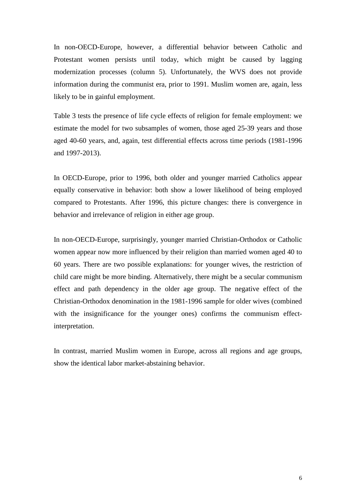In non-OECD-Europe, however, a differential behavior between Catholic and Protestant women persists until today, which might be caused by lagging modernization processes (column 5). Unfortunately, the WVS does not provide information during the communist era, prior to 1991. Muslim women are, again, less likely to be in gainful employment.

Table 3 tests the presence of life cycle effects of religion for female employment: we estimate the model for two subsamples of women, those aged 25-39 years and those aged 40-60 years, and, again, test differential effects across time periods (1981-1996 and 1997-2013).

In OECD-Europe, prior to 1996, both older and younger married Catholics appear equally conservative in behavior: both show a lower likelihood of being employed compared to Protestants. After 1996, this picture changes: there is convergence in behavior and irrelevance of religion in either age group.

In non-OECD-Europe, surprisingly, younger married Christian-Orthodox or Catholic women appear now more influenced by their religion than married women aged 40 to 60 years. There are two possible explanations: for younger wives, the restriction of child care might be more binding. Alternatively, there might be a secular communism effect and path dependency in the older age group. The negative effect of the Christian-Orthodox denomination in the 1981-1996 sample for older wives (combined with the insignificance for the younger ones) confirms the communism effectinterpretation.

In contrast, married Muslim women in Europe, across all regions and age groups, show the identical labor market-abstaining behavior.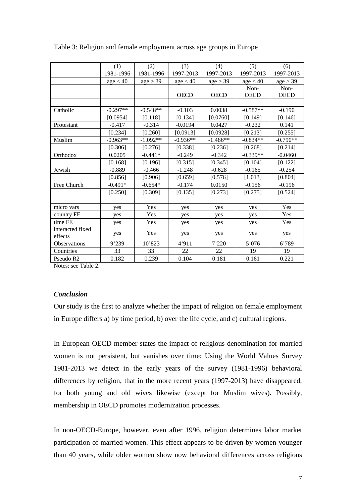|                             | (1)        | (2)        | (3)         | (4)         | (5)                 | (6)                 |
|-----------------------------|------------|------------|-------------|-------------|---------------------|---------------------|
|                             | 1981-1996  | 1981-1996  | 1997-2013   | 1997-2013   | 1997-2013           | 1997-2013           |
|                             | age < 40   | age > 39   | age < 40    | age > 39    | age < 40            | age > 39            |
|                             |            |            | <b>OECD</b> | <b>OECD</b> | Non-<br><b>OECD</b> | Non-<br><b>OECD</b> |
|                             |            |            |             |             |                     |                     |
| Catholic                    | $-0.297**$ | $-0.548**$ | $-0.103$    | 0.0038      | $-0.587**$          | $-0.190$            |
|                             | [0.0954]   | [0.118]    | [0.134]     | [0.0760]    | [0.149]             | [0.146]             |
| Protestant                  | $-0.417$   | $-0.314$   | $-0.0194$   | 0.0427      | $-0.232$            | 0.141               |
|                             | [0.234]    | [0.260]    | [0.0913]    | [0.0928]    | [0.213]             | [0.255]             |
| Muslim                      | $-0.963**$ | $-1.092**$ | $-0.936**$  | $-1.486**$  | $-0.834**$          | $-0.790**$          |
|                             | [0.306]    | [0.276]    | [0.338]     | [0.236]     | [0.268]             | [0.214]             |
| Orthodox                    | 0.0205     | $-0.441*$  | $-0.249$    | $-0.342$    | $-0.339**$          | $-0.0460$           |
|                             | [0.168]    | [0.196]    | [0.315]     | [0.345]     | [0.104]             | [0.122]             |
| Jewish                      | $-0.889$   | $-0.466$   | $-1.248$    | $-0.628$    | $-0.165$            | $-0.254$            |
|                             | [0.856]    | [0.906]    | [0.659]     | [0.576]     | [1.013]             | [0.804]             |
| Free Church                 | $-0.491*$  | $-0.654*$  | $-0.174$    | 0.0150      | $-0.156$            | $-0.196$            |
|                             | [0.250]    | [0.309]    | [0.135]     | [0.273]     | [0.275]             | [0.524]             |
|                             |            |            |             |             |                     |                     |
| micro vars                  | yes        | Yes        | yes         | yes         | yes                 | Yes                 |
| country FE                  | yes        | Yes        | yes         | yes         | yes                 | Yes                 |
| time FE                     | yes        | Yes        | yes         | yes         | yes                 | Yes                 |
| interacted fixed<br>effects | yes        | Yes        | yes         | yes         | yes                 | yes                 |
| Observations                | 9'239      | 10'823     | 4'911       | 7'220       | 5'076               | 6'789               |
| Countries                   | 33         | 33         | 22          | 22          | 19                  | 19                  |
| Pseudo R2                   | 0.182      | 0.239      | 0.104       | 0.181       | 0.161               | 0.221               |

Table 3: Religion and female employment across age groups in Europe

Notes: see Table 2.

#### *Conclusion*

Our study is the first to analyze whether the impact of religion on female employment in Europe differs a) by time period, b) over the life cycle, and c) cultural regions.

In European OECD member states the impact of religious denomination for married women is not persistent, but vanishes over time: Using the World Values Survey 1981-2013 we detect in the early years of the survey (1981-1996) behavioral differences by religion, that in the more recent years (1997-2013) have disappeared, for both young and old wives likewise (except for Muslim wives). Possibly, membership in OECD promotes modernization processes.

In non-OECD-Europe, however, even after 1996, religion determines labor market participation of married women. This effect appears to be driven by women younger than 40 years, while older women show now behavioral differences across religions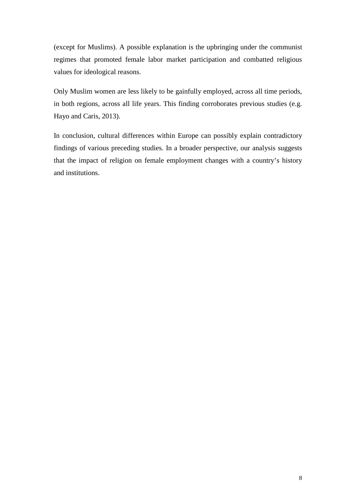(except for Muslims). A possible explanation is the upbringing under the communist regimes that promoted female labor market participation and combatted religious values for ideological reasons.

Only Muslim women are less likely to be gainfully employed, across all time periods, in both regions, across all life years. This finding corroborates previous studies (e.g. Hayo and Caris, 2013).

In conclusion, cultural differences within Europe can possibly explain contradictory findings of various preceding studies. In a broader perspective, our analysis suggests that the impact of religion on female employment changes with a country's history and institutions.